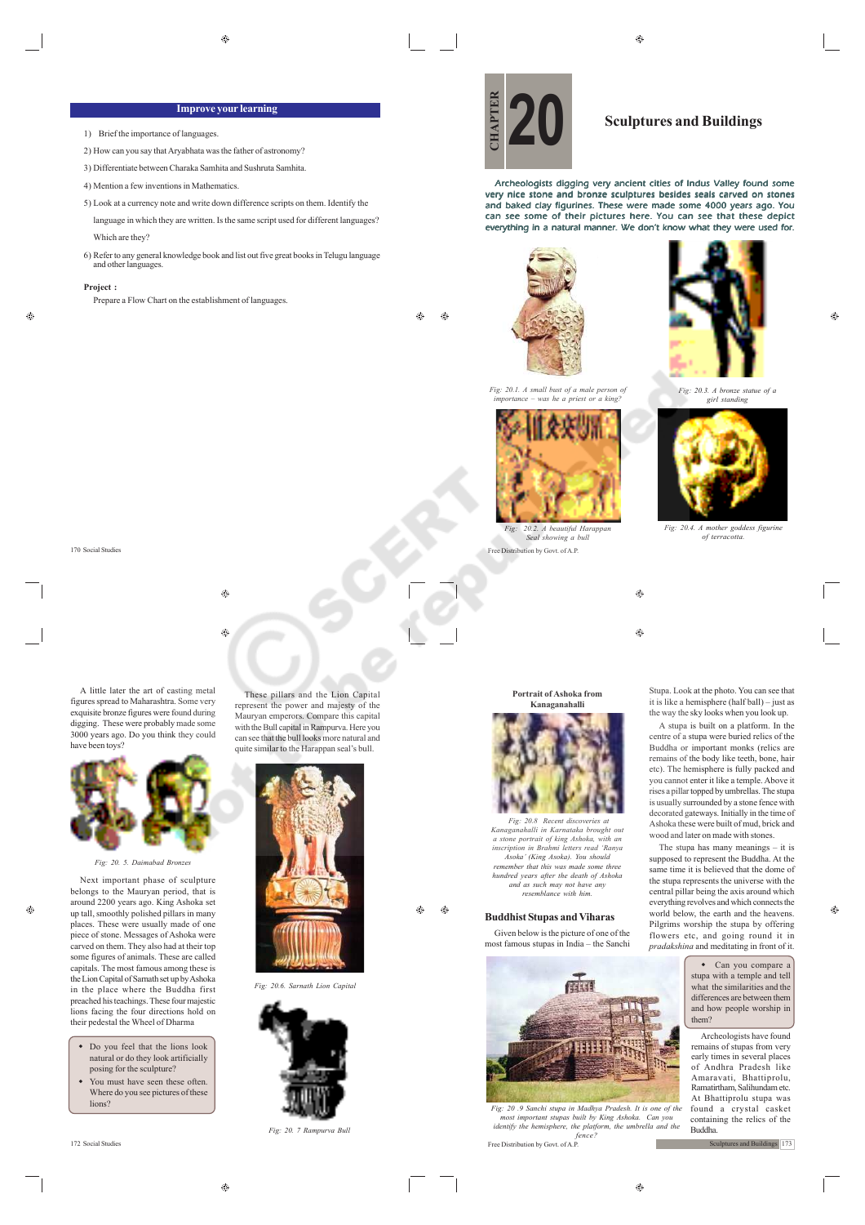# **Improve your learning**

- 1) Brief the importance of languages.
- 2) How can you say that Aryabhata was the father of astronomy?
- 3) Differentiate between Charaka Samhita and Sushruta Samhita.
- 4) Mention a few inventions in Mathematics.
- 5) Look at a currency note and write down difference scripts on them. Identify the language in which they are written. Is the same script used for different languages?
	- Which are they?
- 6) Refer to any general knowledge book and list out five great books in Telugu language and other languages.

#### **Project :**

170 Social Studies

Prepare a Flow Chart on the establishment of languages.

Ø.

ക  $\bigoplus$ 

Archeologists digging very ancient cities of Indus Valley found some very nice stone and bronze sculptures besides seals carved on stones and baked clay figurines. These were made some 4000 years ago. You can see some of their pictures here. You can see that these depict everything in a natural manner. We don't know what they were used for.







Free Distribution by Govt. of A.P. *Seal showing a bull*

 $\bigcirc$ 

 $\circledcirc$ 

**Portrait of Ashoka from Kanaganahalli**



 *Fig: 20.8 Recent discoveries at Kanaganahalli in Karnataka brought ou a stone portrait of king Ashoka, with an inscription in Brahmi letters read 'Ranya Asoka' (King Asoka). You should remember that this was made some three hundred years after the death of Ashoka and as such may not have any resemblance with him.*

### **Buddhist Stupas and Viharas**

Given below is the picture of one of the most famous stupas in India – the Sanchi



172 Social Studies Free Distribution by Govt. of A.P. *Fig: 20 .9 Sanchi stupa in Madhya Pradesh. It is one of the most important stupas built by King Ashoka. Can you identify the hemisphere, the platform, the umbrella and the fence?*



*Fig: 20.3. A bronze statue of a girl standing*



*Fig: 20.4. A mother goddess figurine of terracotta.*

Stupa. Look at the photo. You can see that it is like a hemisphere (half ball) – just as the way the sky looks when you look up.

A stupa is built on a platform. In the centre of a stupa were buried relics of the Buddha or important monks (relics are remains of the body like teeth, bone, hair etc). The hemisphere is fully packed and you cannot enter it like a temple. Above it rises a pillar topped by umbrellas. The stupa is usually surrounded by a stone fence with decorated gateways. Initially in the time of Ashoka these were built of mud, brick and wood and later on made with stones.

The stupa has many meanings – it is supposed to represent the Buddha. At the same time it is believed that the dome of the stupa represents the universe with the central pillar being the axis around which everything revolves and which connects the world below, the earth and the heavens. Pilgrims worship the stupa by offering flowers etc, and going round it in *pradakshina* and meditating in front of it.

> Can you compare a stupa with a temple and tell what the similarities and the differences are between them and how people worship in them?

Archeologists have found remains of stupas from very early times in several places of Andhra Pradesh like Amaravati, Bhattiprolu, Ramatirtham, Salihundam etc. At Bhattiprolu stupa was found a crystal casket containing the relics of the Buddha.

Sculptures and Buildings 173

 $\qquad \qquad \textcircled{\scriptsize{9}}$ 

 $\circledast$ 

A little later the art of casting metal figures spread to Maharashtra. Some very exquisite bronze figures were found during digging. These were probably made some 3000 years ago. Do you think they could have been toys?



*Fig: 20. 5. Daimabad Bronzes*

Next important phase of sculpture belongs to the Mauryan period, that is around 2200 years ago. King Ashoka set up tall, smoothly polished pillars in many places. These were usually made of one piece of stone. Messages of Ashoka were carved on them. They also had at their top some figures of animals. These are called capitals. The most famous among these is the Lion Capital of Sarnath set up by Ashoka in the place where the Buddha first preached his teachings. These four majestic lions facing the four directions hold on their pedestal the Wheel of Dharma

- Do you feel that the lions look natural or do they look artificially posing for the sculpture?
- You must have seen these often. Where do you see pictures of these lions?

 $\hat{\mathbf{e}}$ 

with the Bull capital in Rampurva. Here you can see that the bull looks more natural and quite similar to the Harappan seal's bull.



These pillars and the Lion Capital represent the power and majesty of the Mauryan emperors. Compare this capital

*Fig: 20.6. Sarnath Lion Capital*





⊕

 $\bigoplus$ 

 $\overline{\phantom{a}}$ 

 $^{\circ}$ 

 $\bigoplus$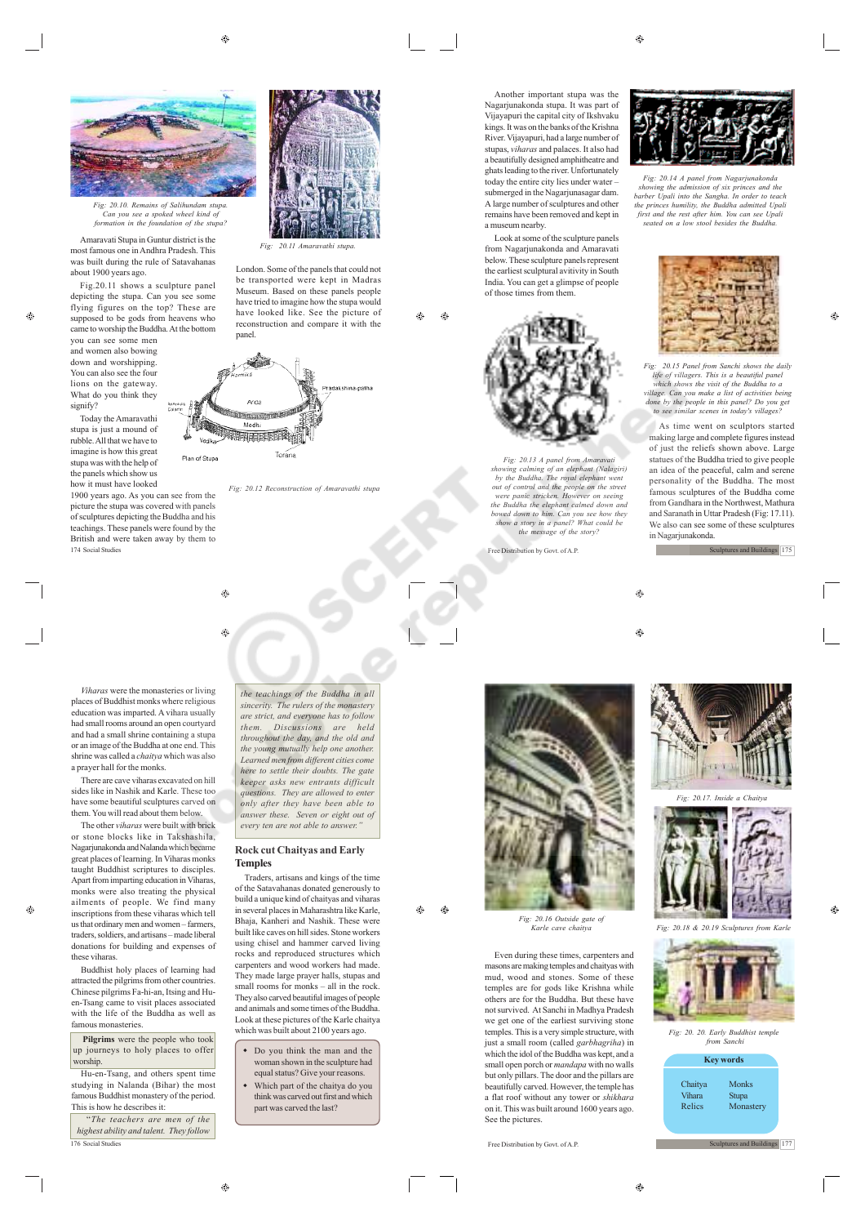⊕



*Fig: 20.10. Remains of Salihundam stupa. Can you see a spoked wheel kind of formation in the foundation of the stupa?*

Amaravati Stupa in Guntur district is the most famous one in Andhra Pradesh. This was built during the rule of Satavahanas about 1900 years ago.

Fig.20.11 shows a sculpture panel depicting the stupa. Can you see some flying figures on the top? These are supposed to be gods from heavens who came to worship the Buddha. At the bottom

you can see some men and women also bowing down and worshipping. You can also see the four lions on the gateway. What do you think they signify?

Today the Amaravathi stupa is just a mound of rubble. All that we have to imagine is how this great stupa was with the help of the panels which show us how it must have looked

1900 years ago. As you can see from the picture the stupa was covered with panels of sculptures depicting the Buddha and his teachings. These panels were found by the British and were taken away by them to 174 Social Studies

*Viharas* were the monasteries or living places of Buddhist monks where religious education was imparted. A vihara usually had small rooms around an open courtyard and had a small shrine containing a stupa or an image of the Buddha at one end. This shrine was called a *chaitya* which was also a prayer hall for the monks.

There are cave viharas excavated on hill sides like in Nashik and Karle. These too have some beautiful sculptures carved on them. You will read about them below.

The other *viharas* were built with brick or stone blocks like in Takshashila, Nagarjunakonda and Nalanda which became great places of learning. In Viharas monks taught Buddhist scriptures to disciples. Apart from imparting education in Viharas, monks were also treating the physical ailments of people. We find many inscriptions from these viharas which tell us that ordinary men and women – farmers traders, soldiers, and artisans – made liberal donations for building and expenses of these viharas.

Buddhist holy places of learning had attracted the pilgrims from other countries. Chinese pilgrims Fa-hi-an, Itsing and Huen-Tsang came to visit places associated with the life of the Buddha as well as famous monasteries.

**Pilgrims** were the people who took up journeys to holy places to offer worship.

Hu-en-Tsang, and others spent time studying in Nalanda (Bihar) the most famous Buddhist monastery of the period. This is how he describes it:

"*The teachers are men of the highest ability and talent. They follow* 176 Social Studies Free Distribution by Govt. of A.P.

*Fig: 20.11 Amaravathi stupa.*

London. Some of the panels that could not be transported were kept in Madras Museum. Based on these panels people have tried to imagine how the stupa would have looked like. See the picture of reconstruction and compare it with the panel



 $\triangle$ 

۳

*Fig: 20.12 Reconstruction of Amaravathi stupa*

*the teachings of the Buddha in all sincerity. The rulers of the monastery are strict, and everyone has to follow Discussions are throughout the day, and the old and the young mutually help one another. Learned men from different cities come here to settle their doubts. The gate keeper asks new entrants difficult questions. They are allowed to enter only after they have been able to answer these. Seven or eight out of every ten are not able to answer."* **Rock cut Chaityas and Early**

Traders, artisans and kings of the time of the Satavahanas donated generously to build a unique kind of chaityas and viharas in several places in Maharashtra like Karle, Bhaja, Kanheri and Nashik. These were built like caves on hill sides. Stone workers using chisel and hammer carved living rocks and reproduced structures which carpenters and wood workers had made. They made large prayer halls, stupas and small rooms for monks – all in the rock. They also carved beautiful images of people and animals and some times of the Buddha. Look at these pictures of the Karle chaitya which was built about 2100 years ago. Do you think the man and the woman shown in the sculpture had equal status? Give your reasons. Which part of the chaitya do you think was carved out first and which part was carved the last?

**Temples**

remains have been removed and kept in a museum nearby. Look at some of the sculpture panels from Nagarjunakonda and Amaravati below. These sculpture panels represent

 $\triangle$  $\triangle$ 

the earliest sculptural avitivity in South India. You can get a glimpse of people of those times from them.

*Fig: 20.13 A panel from An showing calming of an elephant (Nalagiri) by the Buddha. The royal elephant went* out of control and the people on the street<br>were panic stricken. However on seeing<br>the Buddha the elephant calmed down and<br>bowed down to him. Can you see how they<br>show a story in a panel? What could be<br>the message of the s

Free Distribution by Govt. of A.P.

 $\bigoplus$ 

**The State** 



*Fig: 20.16 Outside gate of Karle cave chaitya*

۵

Even during these times, carpenters and masons are making temples and chaityas with mud, wood and stones. Some of these temples are for gods like Krishna while others are for the Buddha. But these have not survived. At Sanchi in Madhya Pradesh we get one of the earliest surviving stone temples. This is a very simple structure, with just a small room (called *garbhagriha*) in which the idol of the Buddha was kept, and a small open porch or *mandapa* with no walls but only pillars. The door and the pillars are beautifully carved. However, the temple has a flat roof without any tower or *shikhara* on it. This was built around 1600 years ago. See the pictures.



*Fig: 20.14 A panel from Nagarjunakonda showing the admission of six princes and the barber Upali into the Sangha. In order to teach the princes humility, the Buddha admitted Upali first and the rest after him. You can see Upali seated on a low stool besides the Buddha.*



Ô.

*Fig: 20.15 Panel from Sanchi shows the daily life of villagers. This is a beautiful panel which shows the visit of the Buddha to a village. Can you make a list of activities being done by the people in this panel? Do you get to see similar scenes in today's villages?*

As time went on sculptors started making large and complete figures instead of just the reliefs shown above. Large statues of the Buddha tried to give people an idea of the peaceful, calm and serene personality of the Buddha. The most famous sculptures of the Buddha come from Gandhara in the Northwest, Mathura and Saranath in Uttar Pradesh (Fig: 17.11). We also can see some of these sculptures in Nagarjunakonda.

Sculptures and Buildings 175

 $\bigcirc$ 



*Fig: 20.17. Inside a Chaitya*







 $^{\circ}$ 

**Sculptures and Buildings** 177

 $\oplus$ 

Another important stupa was the Nagarjunakonda stupa. It was part of Vijayapuri the capital city of Ikshvaku kings. It was on the banks of the Krishna River. Vijayapuri, had a large number of stupas, *viharas* and palaces. It also had a beautifully designed amphitheatre and ghats leading to the river. Unfortunately today the entire city lies under water – submerged in the Nagarjunasagar dam. A large number of sculptures and other

 $\triangle$ 

 $^{\circ}$